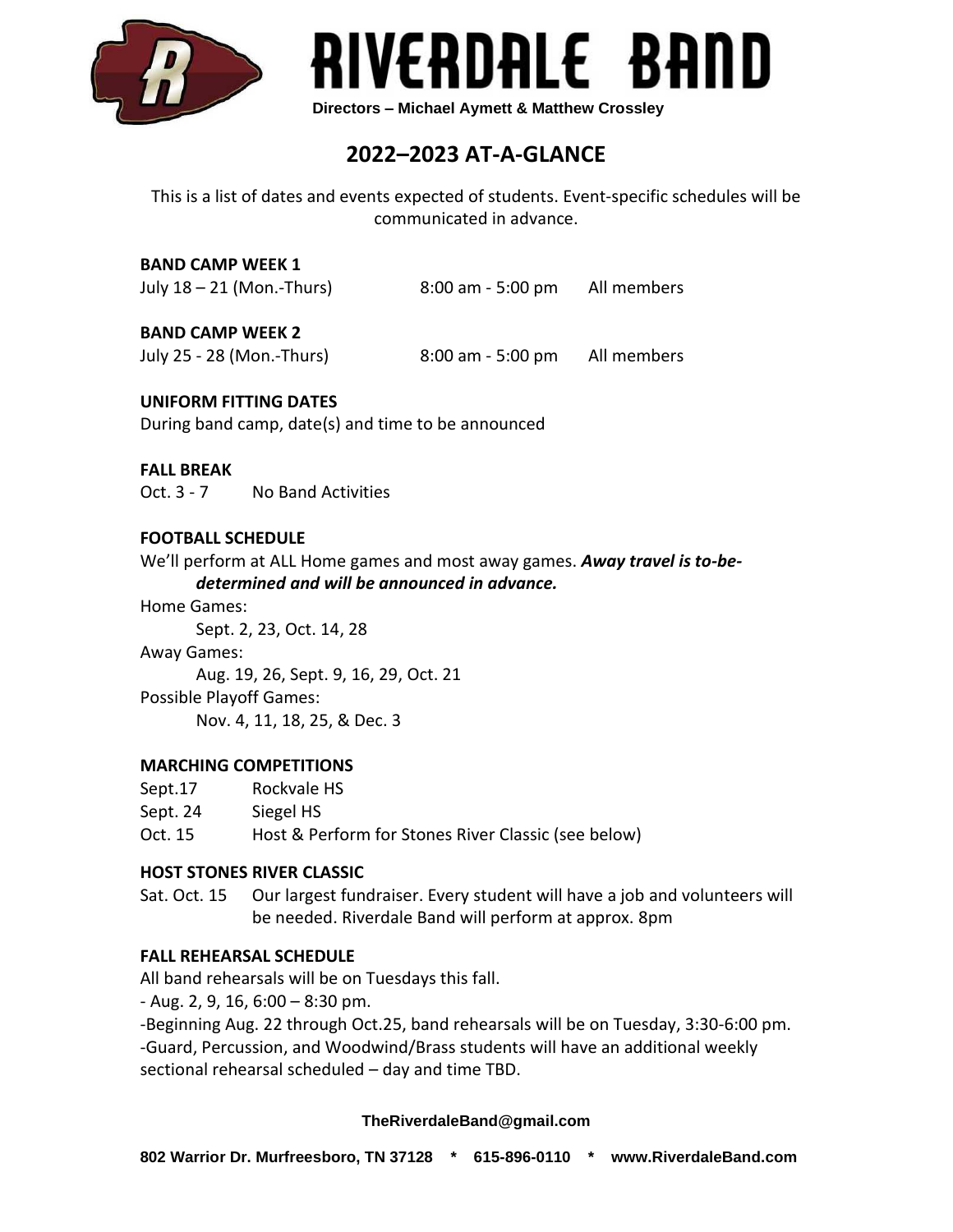



# **2022–2023 AT-A-GLANCE**

This is a list of dates and events expected of students. Event-specific schedules will be communicated in advance.

# **BAND CAMP WEEK 1**

| July 18 - 21 (Mon.-Thurs) | $8:00$ am - 5:00 pm | All members |
|---------------------------|---------------------|-------------|
|---------------------------|---------------------|-------------|

### **BAND CAMP WEEK 2**

July 25 - 28 (Mon.-Thurs) 8:00 am - 5:00 pm All members

### **UNIFORM FITTING DATES**

During band camp, date(s) and time to be announced

### **FALL BREAK**

Oct. 3 - 7 No Band Activities

### **FOOTBALL SCHEDULE**

We'll perform at ALL Home games and most away games. *Away travel is to-bedetermined and will be announced in advance.*

Home Games:

Sept. 2, 23, Oct. 14, 28

Away Games: Aug. 19, 26, Sept. 9, 16, 29, Oct. 21

Possible Playoff Games: Nov. 4, 11, 18, 25, & Dec. 3

### **MARCHING COMPETITIONS**

| Sept.17  | Rockvale HS                                         |
|----------|-----------------------------------------------------|
| Sept. 24 | Siegel HS                                           |
| Oct. 15  | Host & Perform for Stones River Classic (see below) |

### **HOST STONES RIVER CLASSIC**

Sat. Oct. 15 Our largest fundraiser. Every student will have a job and volunteers will be needed. Riverdale Band will perform at approx. 8pm

### **FALL REHEARSAL SCHEDULE**

All band rehearsals will be on Tuesdays this fall.

- Aug. 2, 9, 16, 6:00 – 8:30 pm.

-Beginning Aug. 22 through Oct.25, band rehearsals will be on Tuesday, 3:30-6:00 pm. -Guard, Percussion, and Woodwind/Brass students will have an additional weekly sectional rehearsal scheduled – day and time TBD.

### **TheRiverdaleBand@gmail.com**